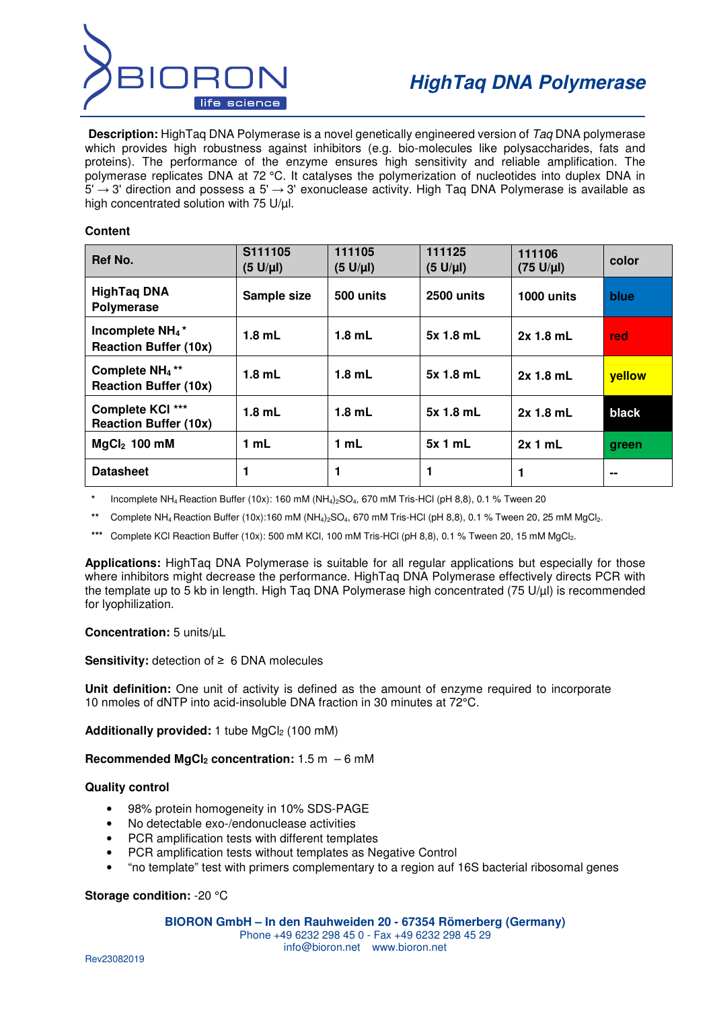

 **Description:** HighTaq DNA Polymerase is a novel genetically engineered version of Taq DNA polymerase which provides high robustness against inhibitors (e.g. bio-molecules like polysaccharides, fats and proteins). The performance of the enzyme ensures high sensitivity and reliable amplification. The polymerase replicates DNA at 72 °C. It catalyses the polymerization of nucleotides into duplex DNA in  $5' \rightarrow 3'$  direction and possess a  $5' \rightarrow 3'$  exonuclease activity. High Taq DNA Polymerase is available as high concentrated solution with 75 U/µl.

## **Content**

| Ref No.                                                                 | S111105<br>$(5 U/\mu l)$ | 111105<br>$(5 U/\mu l)$ | 111125<br>$(5 U/\mu l)$ | 111106<br>$(75 \text{ U}/\mu\text{I})$ | color  |
|-------------------------------------------------------------------------|--------------------------|-------------------------|-------------------------|----------------------------------------|--------|
| <b>HighTag DNA</b><br>Polymerase                                        | Sample size              | 500 units               | <b>2500 units</b>       | 1000 units                             | blue   |
| Incomplete NH <sub>4</sub> <sup>*</sup><br><b>Reaction Buffer (10x)</b> | $1.8$ mL                 | $1.8$ mL                | $5x$ 1.8 mL             | $2x$ 1.8 mL                            | red    |
| Complete $NH_4**$<br><b>Reaction Buffer (10x)</b>                       | $1.8$ mL                 | $1.8$ mL                | 5x 1.8 mL               | $2x$ 1.8 mL                            | vellow |
| Complete KCI ***<br><b>Reaction Buffer (10x)</b>                        | $1.8$ mL                 | $1.8$ mL                | 5x 1.8 mL               | $2x$ 1.8 mL                            | black  |
| $MqCl2$ 100 mM                                                          | 1 mL                     | 1 mL                    | 5x 1 mL                 | 2x 1 mL                                | green  |
| <b>Datasheet</b>                                                        |                          | 1                       |                         | 1                                      | --     |

Incomplete NH<sub>4</sub> Reaction Buffer (10x): 160 mM (NH<sub>4</sub>)<sub>2</sub>SO<sub>4</sub>, 670 mM Tris-HCl (pH 8,8), 0.1 % Tween 20

**\*\*** Complete NH4 Reaction Buffer (10x):160 mM (NH4)2SO4, 670 mM Tris-HCl (pH 8,8), 0.1 % Tween 20, 25 mM MgCl2.

\*\*\* Complete KCl Reaction Buffer (10x): 500 mM KCl, 100 mM Tris-HCl (pH 8,8), 0.1 % Tween 20, 15 mM MgCl<sub>2</sub>.

**Applications:** HighTaq DNA Polymerase is suitable for all regular applications but especially for those where inhibitors might decrease the performance. HighTaq DNA Polymerase effectively directs PCR with the template up to 5 kb in length. High Taq DNA Polymerase high concentrated (75 U/µl) is recommended for lyophilization.

### **Concentration:** 5 units/µL

### **Sensitivity:** detection of ≥ 6 DNA molecules

**Unit definition:** One unit of activity is defined as the amount of enzyme required to incorporate 10 nmoles of dNTP into acid-insoluble DNA fraction in 30 minutes at 72°C.

### Additionally provided: 1 tube MgCl<sub>2</sub> (100 mM)

### **Recommended MgCl2 concentration:** 1.5 m – 6 mM

### **Quality control**

- 98% protein homogeneity in 10% SDS-PAGE
- No detectable exo-/endonuclease activities
- PCR amplification tests with different templates
- PCR amplification tests without templates as Negative Control
- "no template" test with primers complementary to a region auf 16S bacterial ribosomal genes

# **Storage condition:** -20 °C

### **BIORON GmbH – In den Rauhweiden 20 - 67354 Römerberg (Germany)**